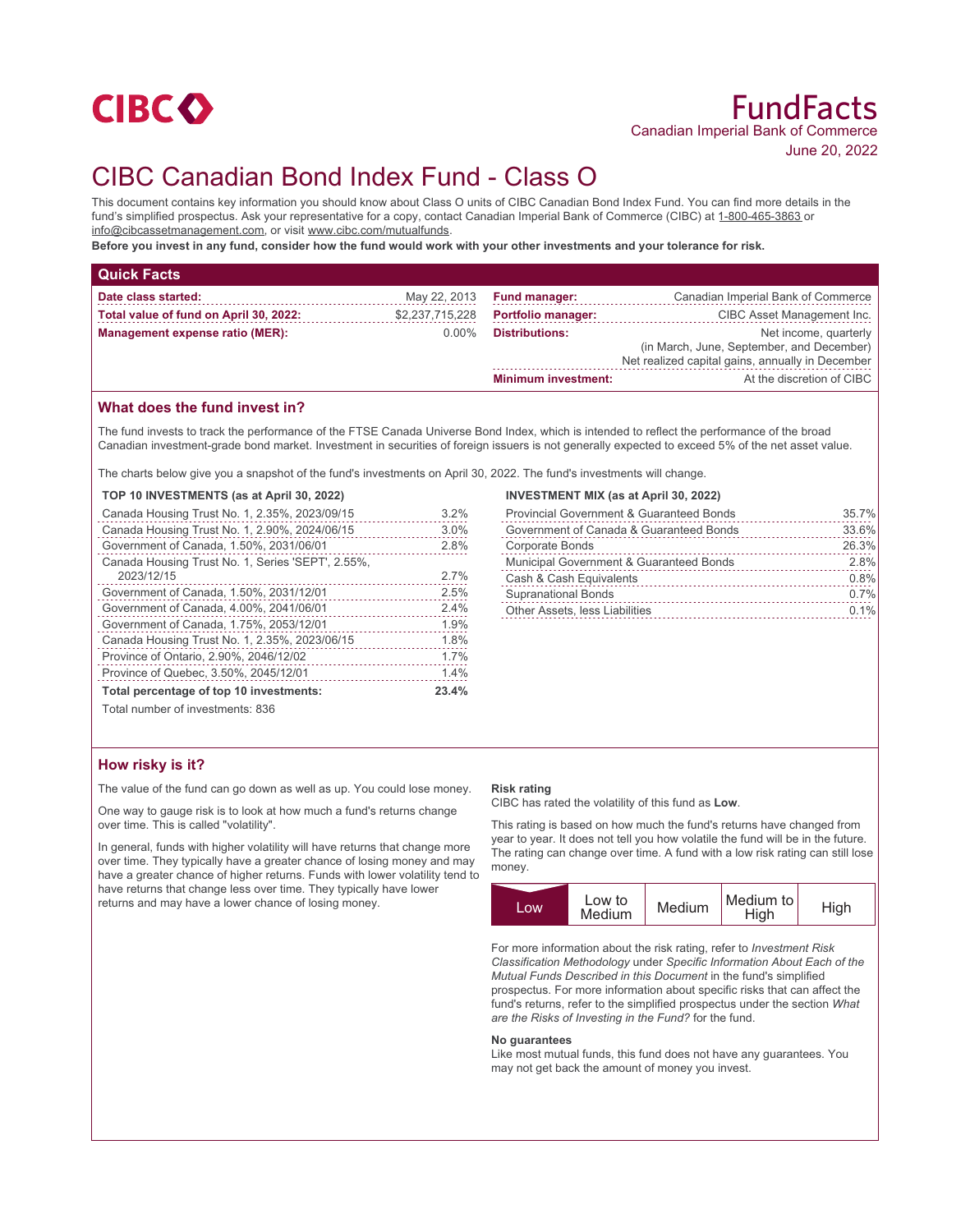

# CIBC Canadian Bond Index Fund - Class O

This document contains key information you should know about Class O units of CIBC Canadian Bond Index Fund. You can find more details in the fund's simplified prospectus. Ask your representative for a copy, contact Canadian Imperial Bank of Commerce (CIBC) at 1-800-465-3863 or info@cibcassetmanagement.com, or visit www.cibc.com/mutualfunds.

**Before you invest in any fund, consider how the fund would work with your other investments and your tolerance for risk.**

| <b>Quick Facts</b>                     |                 |                            |                                                                                                                        |
|----------------------------------------|-----------------|----------------------------|------------------------------------------------------------------------------------------------------------------------|
| Date class started:                    | May 22, 2013    | <b>Fund manager:</b>       | Canadian Imperial Bank of Commerce                                                                                     |
| Total value of fund on April 30, 2022: | \$2,237,715,228 | <b>Portfolio manager:</b>  | CIBC Asset Management Inc.                                                                                             |
| Management expense ratio (MER):        | $0.00\%$        | <b>Distributions:</b>      | Net income, quarterly<br>(in March, June, September, and December)<br>Net realized capital gains, annually in December |
|                                        |                 | <b>Minimum investment:</b> | At the discretion of CIBC                                                                                              |

## **What does the fund invest in?**

The fund invests to track the performance of the FTSE Canada Universe Bond Index, which is intended to reflect the performance of the broad Canadian investment-grade bond market. Investment in securities of foreign issuers is not generally expected to exceed 5% of the net asset value.

The charts below give you a snapshot of the fund's investments on April 30, 2022. The fund's investments will change.

#### **TOP 10 INVESTMENTS (as at April 30, 2022)**

| Canada Housing Trust No. 1, 2.35%, 2023/09/15     | 3.2%  |
|---------------------------------------------------|-------|
| Canada Housing Trust No. 1, 2.90%, 2024/06/15     | 3.0%  |
| Government of Canada, 1.50%, 2031/06/01           | 2.8%  |
| Canada Housing Trust No. 1, Series 'SEPT', 2.55%, |       |
| 2023/12/15                                        | 2.7%  |
| Government of Canada, 1.50%, 2031/12/01           | 2.5%  |
| Government of Canada, 4.00%, 2041/06/01           | 2.4%  |
| Government of Canada, 1.75%, 2053/12/01           | 1.9%  |
| Canada Housing Trust No. 1, 2.35%, 2023/06/15     | 1.8%  |
| Province of Ontario, 2.90%, 2046/12/02            | 1.7%  |
| Province of Quebec, 3.50%, 2045/12/01             | 1.4%  |
| Total percentage of top 10 investments:           | 23.4% |
|                                                   |       |

Total number of investments: 836

## **How risky is it?**

The value of the fund can go down as well as up. You could lose money.

One way to gauge risk is to look at how much a fund's returns change over time. This is called "volatility".

In general, funds with higher volatility will have returns that change more over time. They typically have a greater chance of losing money and may have a greater chance of higher returns. Funds with lower volatility tend to have returns that change less over time. They typically have lower returns and may have a lower chance of losing money.

#### **INVESTMENT MIX (as at April 30, 2022)**

| <b>Provincial Government &amp; Guaranteed Bonds</b> | 35.7% |
|-----------------------------------------------------|-------|
| Government of Canada & Guaranteed Bonds             | 33.6% |
| Corporate Bonds                                     | 26.3% |
| Municipal Government & Guaranteed Bonds             | 2.8%  |
| Cash & Cash Equivalents                             | 0.8%  |
| <b>Supranational Bonds</b>                          | 0.7%  |
| Other Assets, less Liabilities                      | 0.1%  |
|                                                     |       |

#### **Risk rating**

CIBC has rated the volatility of this fund as **Low**.

This rating is based on how much the fund's returns have changed from year to year. It does not tell you how volatile the fund will be in the future. The rating can change over time. A fund with a low risk rating can still lose money.



For more information about the risk rating, refer to *Investment Risk Classification Methodology* under *Specific Information About Each of the Mutual Funds Described in this Document* in the fund's simplified prospectus. For more information about specific risks that can affect the fund's returns, refer to the simplified prospectus under the section *What are the Risks of Investing in the Fund?* for the fund.

#### **No guarantees**

Like most mutual funds, this fund does not have any guarantees. You may not get back the amount of money you invest.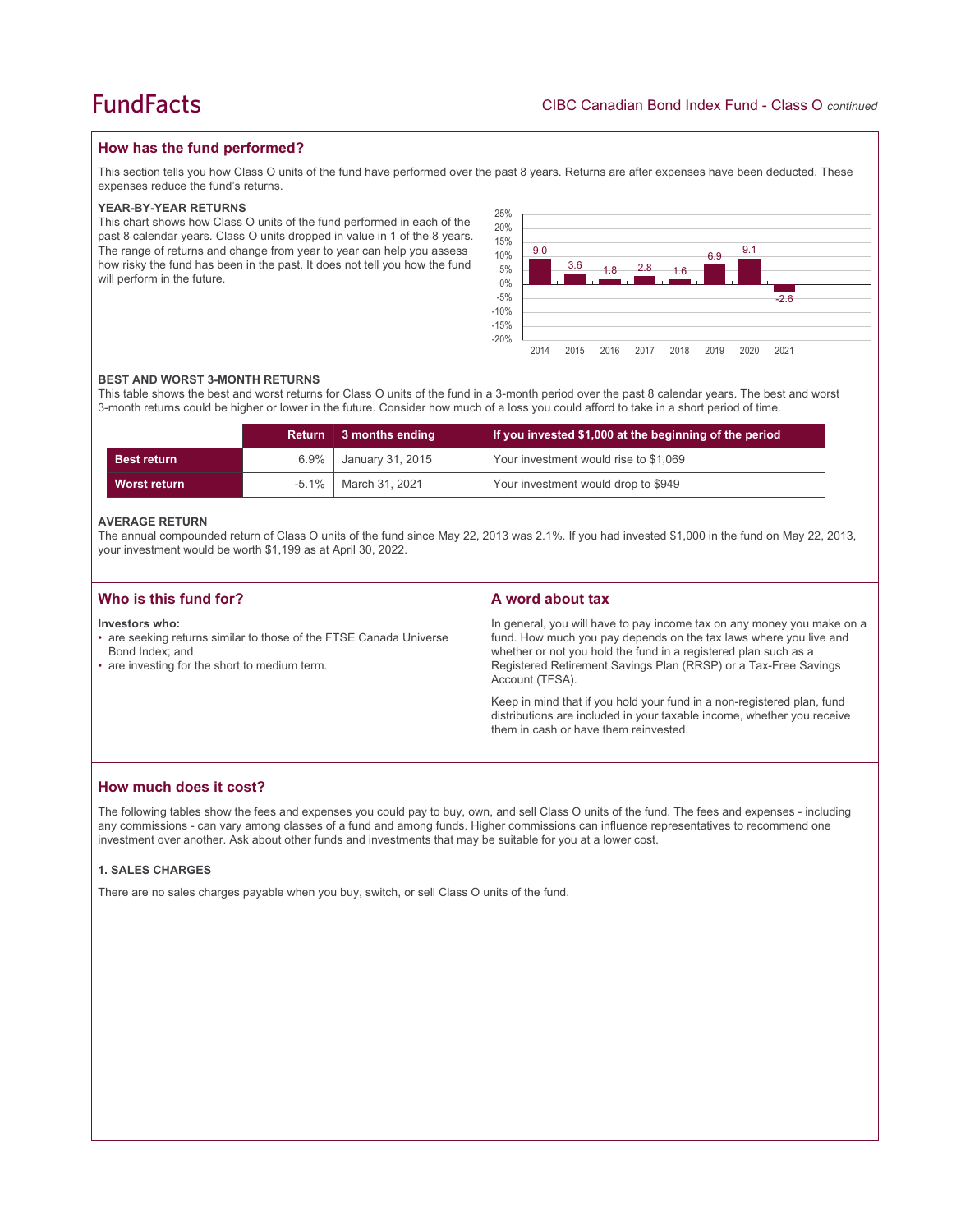## **How has the fund performed?**

This section tells you how Class O units of the fund have performed over the past 8 years. Returns are after expenses have been deducted. These expenses reduce the fund's returns.

#### **YEAR-BY-YEAR RETURNS**

This chart shows how Class O units of the fund performed in each of the past 8 calendar years. Class O units dropped in value in 1 of the 8 years. The range of returns and change from year to year can help you assess how risky the fund has been in the past. It does not tell you how the fund will perform in the future.



#### **BEST AND WORST 3-MONTH RETURNS**

This table shows the best and worst returns for Class O units of the fund in a 3-month period over the past 8 calendar years. The best and worst 3-month returns could be higher or lower in the future. Consider how much of a loss you could afford to take in a short period of time.

|                    | <b>Return</b> | 3 months ending  | If you invested \$1,000 at the beginning of the period |  |
|--------------------|---------------|------------------|--------------------------------------------------------|--|
| <b>Best return</b> | $6.9\%$       | January 31, 2015 | Your investment would rise to \$1,069                  |  |
| Worst return       | $-5.1\%$      | March 31, 2021   | Your investment would drop to \$949                    |  |

#### **AVERAGE RETURN**

The annual compounded return of Class O units of the fund since May 22, 2013 was 2.1%. If you had invested \$1,000 in the fund on May 22, 2013, your investment would be worth \$1,199 as at April 30, 2022.

| Who is this fund for?                                                                                                                                    | A word about tax                                                                                                                                                                                                                                                                                     |
|----------------------------------------------------------------------------------------------------------------------------------------------------------|------------------------------------------------------------------------------------------------------------------------------------------------------------------------------------------------------------------------------------------------------------------------------------------------------|
| Investors who:<br>• are seeking returns similar to those of the FTSE Canada Universe<br>Bond Index; and<br>• are investing for the short to medium term. | In general, you will have to pay income tax on any money you make on a<br>fund. How much you pay depends on the tax laws where you live and<br>whether or not you hold the fund in a registered plan such as a<br>Registered Retirement Savings Plan (RRSP) or a Tax-Free Savings<br>Account (TFSA). |
|                                                                                                                                                          | Keep in mind that if you hold your fund in a non-registered plan, fund<br>distributions are included in your taxable income, whether you receive<br>them in cash or have them reinvested.                                                                                                            |

## **How much does it cost?**

The following tables show the fees and expenses you could pay to buy, own, and sell Class O units of the fund. The fees and expenses - including any commissions - can vary among classes of a fund and among funds. Higher commissions can influence representatives to recommend one investment over another. Ask about other funds and investments that may be suitable for you at a lower cost.

#### **1. SALES CHARGES**

There are no sales charges payable when you buy, switch, or sell Class O units of the fund.